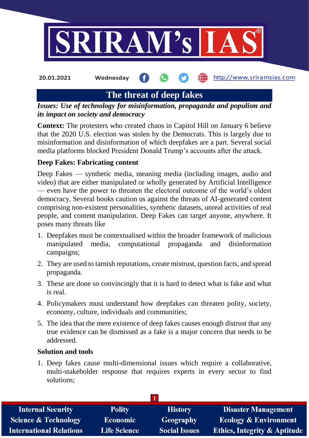

http://www.sriramsias.com **20.01.2021 Wednesday**

**The threat of deep fakes**

*Issues: Use of technology for misinformation, propaganda and populism and its impact on society and democracy*

**Context:** The protesters who created chaos in Capitol Hill on January 6 believe that the 2020 U.S. election was stolen by the Democrats. This is largely due to misinformation and disinformation of which deepfakes are a part. Several social media platforms blocked President Donald Trump's accounts after the attack.

# **Deep Fakes: Fabricating content**

Deep Fakes — synthetic media, meaning media (including images, audio and video) that are either manipulated or wholly generated by Artificial Intelligence — even have the power to threaten the electoral outcome of the world's oldest democracy. Several books caution us against the threats of AI-generated content comprising non-existent personalities, synthetic datasets, unreal activities of real people, and content manipulation. Deep Fakes can target anyone, anywhere. It poses many threats like

- 1. Deepfakes must be contextualised within the broader framework of malicious manipulated media, computational propaganda and disinformation campaigns;
- 2. They are used to tarnish reputations, create mistrust, question facts, and spread propaganda.
- 3. These are done so convincingly that it is hard to detect what is fake and what is real.
- 4. Policymakers must understand how deepfakes can threaten polity, society, economy, culture, individuals and communities;
- 5. The idea that the mere existence of deep fakes causes enough distrust that any true evidence can be dismissed as a fake is a major concern that needs to be addressed.

### **Solution and tools**

1. Deep fakes cause multi-dimensional issues which require a collaborative, multi-stakeholder response that requires experts in every sector to find solutions;

| <b>Internal Security</b>        | <b>Polity</b>       | <b>History</b>       | <b>Disaster Management</b>              |
|---------------------------------|---------------------|----------------------|-----------------------------------------|
| <b>Science &amp; Technology</b> | <b>Economic</b>     | Geography            | <b>Ecology &amp; Environment</b>        |
| <b>International Relations</b>  | <b>Life Science</b> | <b>Social Issues</b> | <b>Ethics, Integrity &amp; Aptitude</b> |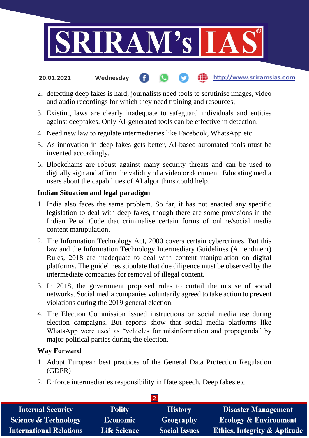

- the http://www.sriramsias.com **20.01.2021 Wednesday**
- 2. detecting deep fakes is hard; journalists need tools to scrutinise images, video and audio recordings for which they need training and resources;
- 3. Existing laws are clearly inadequate to safeguard individuals and entities against deepfakes. Only AI-generated tools can be effective in detection.
- 4. Need new law to regulate intermediaries like Facebook, WhatsApp etc.
- 5. As innovation in deep fakes gets better, AI-based automated tools must be invented accordingly.
- 6. Blockchains are robust against many security threats and can be used to digitally sign and affirm the validity of a video or document. Educating media users about the capabilities of AI algorithms could help.

### **Indian Situation and legal paradigm**

- 1. India also faces the same problem. So far, it has not enacted any specific legislation to deal with deep fakes, though there are some provisions in the Indian Penal Code that criminalise certain forms of online/social media content manipulation.
- 2. The Information Technology Act, 2000 covers certain cybercrimes. But this law and the Information Technology Intermediary Guidelines (Amendment) Rules, 2018 are inadequate to deal with content manipulation on digital platforms. The guidelines stipulate that due diligence must be observed by the intermediate companies for removal of illegal content.
- 3. In 2018, the government proposed rules to curtail the misuse of social networks. Social media companies voluntarily agreed to take action to prevent violations during the 2019 general election.
- 4. The Election Commission issued instructions on social media use during election campaigns. But reports show that social media platforms like WhatsApp were used as "vehicles for misinformation and propaganda" by major political parties during the election.

### **Way Forward**

- 1. Adopt European best practices of the General Data Protection Regulation (GDPR)
- 2. Enforce intermediaries responsibility in Hate speech, Deep fakes etc

| <b>Internal Security</b>        | <b>Polity</b>       | <b>History</b>       | <b>Disaster Management</b>              |  |  |
|---------------------------------|---------------------|----------------------|-----------------------------------------|--|--|
| <b>Science &amp; Technology</b> | <b>Economic</b>     | <b>Geography</b>     | <b>Ecology &amp; Environment</b>        |  |  |
| <b>International Relations</b>  | <b>Life Science</b> | <b>Social Issues</b> | <b>Ethics, Integrity &amp; Aptitude</b> |  |  |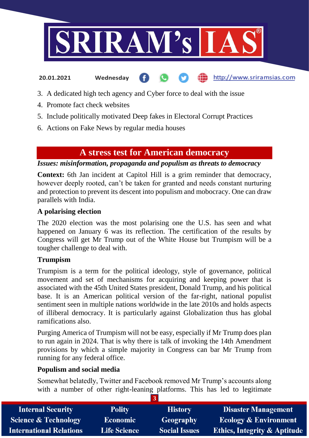

http://www.sriramsias.com

#### **20.01.2021 Wednesday**

3. A dedicated high tech agency and Cyber force to deal with the issue

- 4. Promote fact check websites
- 5. Include politically motivated Deep fakes in Electoral Corrupt Practices
- 6. Actions on Fake News by regular media houses

# **A stress test for American democracy**

*Issues: misinformation, propaganda and populism as threats to democracy*

**Context:** 6th Jan incident at Capitol Hill is a grim reminder that democracy, however deeply rooted, can't be taken for granted and needs constant nurturing and protection to prevent its descent into populism and mobocracy. One can draw parallels with India.

### **A polarising election**

The 2020 election was the most polarising one the U.S. has seen and what happened on January 6 was its reflection. The certification of the results by Congress will get Mr Trump out of the White House but Trumpism will be a tougher challenge to deal with.

### **Trumpism**

Trumpism is a term for the political ideology, style of governance, political movement and set of mechanisms for acquiring and keeping power that is associated with the 45th United States president, Donald Trump, and his political base. It is an American political version of the far-right, national populist sentiment seen in multiple nations worldwide in the late 2010s and holds aspects of illiberal democracy. It is particularly against Globalization thus has global ramifications also.

Purging America of Trumpism will not be easy, especially if Mr Trump does plan to run again in 2024. That is why there is talk of invoking the 14th Amendment provisions by which a simple majority in Congress can bar Mr Trump from running for any federal office.

## **Populism and social media**

Somewhat belatedly, Twitter and Facebook removed Mr Trump's accounts along with a number of other right-leaning platforms. This has led to legitimate

| <b>Internal Security</b>        | <b>Polity</b>       | <b>History</b>       | <b>Disaster Management</b>              |
|---------------------------------|---------------------|----------------------|-----------------------------------------|
| <b>Science &amp; Technology</b> | Economic            | Geography            | <b>Ecology &amp; Environment</b>        |
| <b>International Relations</b>  | <b>Life Science</b> | <b>Social Issues</b> | <b>Ethics, Integrity &amp; Aptitude</b> |